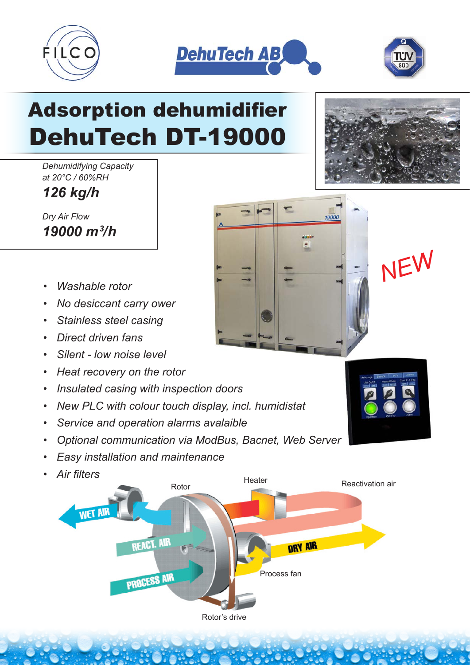



੮

19000



# Adsorption dehumidifier DehuTech DT-19000

*Dehumidifying Capacity at 20°C / 60%RH*

*126 kg/h*

*Dry Air Flow 19000 m3 /h*

- *Washable rotor*
- *No desiccant carry ower*
- *Stainless steel casing*
- *Direct driven fans*
- *Silent low noise level*
- *Heat recovery on the rotor*
- *Insulated casing with inspection doors*
- *New PLC with colour touch display, incl. humidistat*
- *Service and operation alarms avalaible*
- *Optional communication via ModBus, Bacnet, Web Server*
- *Easy installation and maintenance*
- *Air filters*





*NEW*